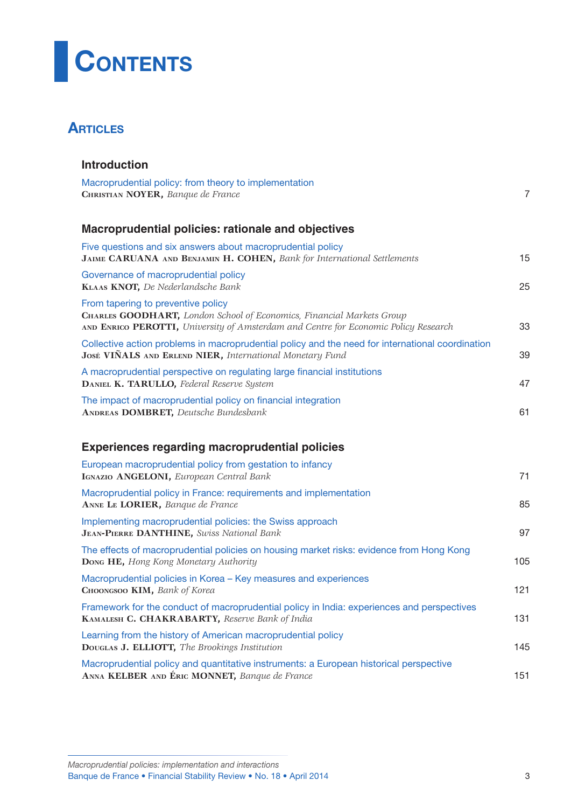

## **ARTICLES**

| <b>Introduction</b>                                                                                                                                                                                       |                |
|-----------------------------------------------------------------------------------------------------------------------------------------------------------------------------------------------------------|----------------|
| Macroprudential policy: from theory to implementation<br>CHRISTIAN NOYER, Banque de France                                                                                                                | $\overline{7}$ |
| Macroprudential policies: rationale and objectives                                                                                                                                                        |                |
| Five questions and six answers about macroprudential policy<br>JAIME CARUANA AND BENJAMIN H. COHEN, Bank for International Settlements                                                                    | 15             |
| Governance of macroprudential policy<br>KLAAS KNOT, De Nederlandsche Bank                                                                                                                                 | 25             |
| From tapering to preventive policy<br><b>CHARLES GOODHART, London School of Economics, Financial Markets Group</b><br>AND ENRICO PEROTTI, University of Amsterdam and Centre for Economic Policy Research | 33             |
| Collective action problems in macroprudential policy and the need for international coordination<br>José VIÑALS AND ERLEND NIER, International Monetary Fund                                              | 39             |
| A macroprudential perspective on regulating large financial institutions<br>DANIEL K. TARULLO, Federal Reserve System                                                                                     | 47             |
| The impact of macroprudential policy on financial integration<br><b>ANDREAS DOMBRET, Deutsche Bundesbank</b>                                                                                              | 61             |
| <b>Experiences regarding macroprudential policies</b>                                                                                                                                                     |                |
| European macroprudential policy from gestation to infancy<br>IGNAZIO ANGELONI, European Central Bank                                                                                                      | 71             |
| Macroprudential policy in France: requirements and implementation<br>ANNE LE LORIER, Banque de France                                                                                                     | 85             |
| Implementing macroprudential policies: the Swiss approach<br>JEAN-PIERRE DANTHINE, Swiss National Bank                                                                                                    | 97             |
| The effects of macroprudential policies on housing market risks: evidence from Hong Kong<br>Dong HE, Hong Kong Monetary Authority                                                                         | 105            |
| Macroprudential policies in Korea - Key measures and experiences<br>CHOONGSOO KIM, Bank of Korea                                                                                                          | 121            |
| Framework for the conduct of macroprudential policy in India: experiences and perspectives<br>KAMALESH C. CHAKRABARTY, Reserve Bank of India                                                              | 131            |
| Learning from the history of American macroprudential policy<br>DOUGLAS J. ELLIOTT, The Brookings Institution                                                                                             | 145            |
| Macroprudential policy and quantitative instruments: a European historical perspective<br>ANNA KELBER AND ÉRIC MONNET, Banque de France                                                                   | 151            |